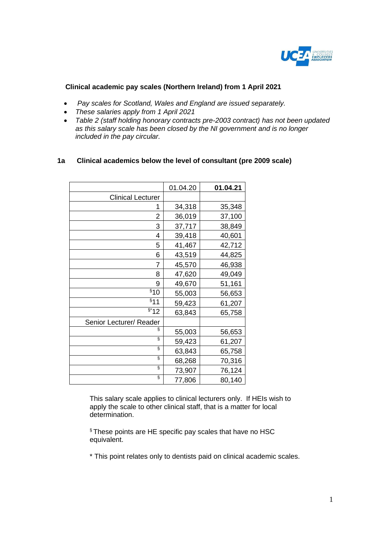

# **Clinical academic pay scales (Northern Ireland) from 1 April 2021**

- *Pay scales for Scotland, Wales and England are issued separately.*
- *These salaries apply from 1 April 2021*
- *Table 2 (staff holding honorary contracts pre-2003 contract) has not been updated as this salary scale has been closed by the NI government and is no longer included in the pay circular.*

#### **1a Clinical academics below the level of consultant (pre 2009 scale)**

|                          | 01.04.20 | 01.04.21 |
|--------------------------|----------|----------|
| <b>Clinical Lecturer</b> |          |          |
| 1                        | 34,318   | 35,348   |
| 2                        | 36,019   | 37,100   |
| 3                        | 37,717   | 38,849   |
| 4                        | 39,418   | 40,601   |
| 5                        | 41,467   | 42,712   |
| 6                        | 43,519   | 44,825   |
| 7                        | 45,570   | 46,938   |
| 8                        | 47,620   | 49,049   |
| 9                        | 49,670   | 51,161   |
| §10                      | 55,003   | 56,653   |
| $§$ 11                   | 59,423   | 61,207   |
| $\overline{$}^*$ 12      | 63,843   | 65,758   |
| Senior Lecturer/ Reader  |          |          |
| §                        | 55,003   | 56,653   |
| ş                        | 59,423   | 61,207   |
| Ş                        | 63,843   | 65,758   |
| ş                        | 68,268   | 70,316   |
| ş                        | 73,907   | 76,124   |
| ş                        | 77,806   | 80,140   |

This salary scale applies to clinical lecturers only. If HEIs wish to apply the scale to other clinical staff, that is a matter for local determination.

§ These points are HE specific pay scales that have no HSC equivalent.

\* This point relates only to dentists paid on clinical academic scales.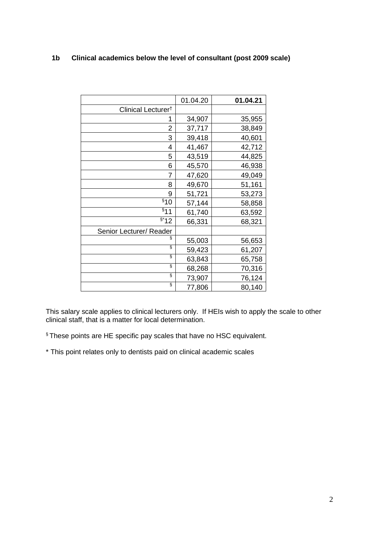# **1b Clinical academics below the level of consultant (post 2009 scale)**

|                                | 01.04.20 | 01.04.21 |
|--------------------------------|----------|----------|
| Clinical Lecturer <sup>t</sup> |          |          |
|                                | 34,907   | 35,955   |
| 2                              | 37,717   | 38,849   |
| 3                              | 39,418   | 40,601   |
| 4                              | 41,467   | 42,712   |
| 5                              | 43,519   | 44,825   |
| 6                              | 45,570   | 46,938   |
| 7                              | 47,620   | 49,049   |
| 8                              | 49,670   | 51,161   |
| 9                              | 51,721   | 53,273   |
| \$10                           | 57,144   | 58,858   |
| \$11                           | 61,740   | 63,592   |
| $\overline{\S}^*$ 12           | 66,331   | 68,321   |
| Senior Lecturer/ Reader        |          |          |
| §                              | 55,003   | 56,653   |
| ş                              | 59,423   | 61,207   |
| ş                              | 63,843   | 65,758   |
| ş                              | 68,268   | 70,316   |
| ş                              | 73,907   | 76,124   |
| ş                              | 77,806   | 80,140   |

This salary scale applies to clinical lecturers only. If HEIs wish to apply the scale to other clinical staff, that is a matter for local determination.

§ These points are HE specific pay scales that have no HSC equivalent.

\* This point relates only to dentists paid on clinical academic scales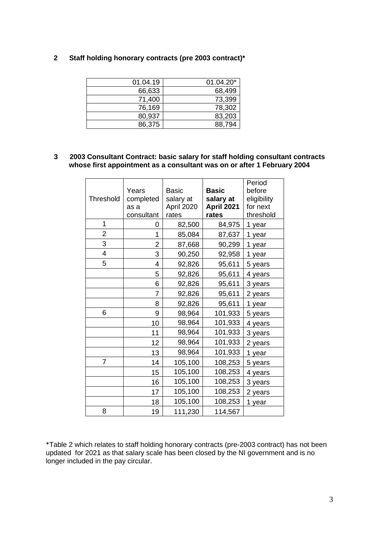### **2 Staff holding honorary contracts (pre 2003 contract)\***

| 01.04.20* |
|-----------|
| 68,499    |
| 73,399    |
| 78,302    |
| 83,203    |
| 88,794    |
|           |

#### **3 2003 Consultant Contract: basic salary for staff holding consultant contracts whose first appointment as a consultant was on or after 1 February 2004**

| <b>Threshold</b> | Years<br>completed<br>as a<br>consultant | <b>Basic</b><br>salary at<br>April 2020<br>rates | <b>Basic</b><br>salary at<br>April 2021<br>rates | Period<br>before<br>eligibility<br>for next<br>threshold |
|------------------|------------------------------------------|--------------------------------------------------|--------------------------------------------------|----------------------------------------------------------|
| 1                | 0                                        | 82,500                                           | 84,975                                           | 1 year                                                   |
| $\overline{2}$   | 1                                        | 85,084                                           | 87,637                                           | 1 year                                                   |
| 3                | $\overline{2}$                           | 87,668                                           | 90,299                                           | 1 year                                                   |
| $\overline{4}$   | 3                                        | 90,250                                           | 92,958                                           | 1 year                                                   |
| 5                | 4                                        | 92,826                                           | 95,611                                           | 5 years                                                  |
|                  | 5                                        | 92,826                                           | 95,611                                           | 4 years                                                  |
|                  | 6                                        | 92,826                                           | 95,611                                           | 3 years                                                  |
|                  | 7                                        | 92,826                                           | 95,611                                           | 2 years                                                  |
|                  | 8                                        | 92,826                                           | 95,611                                           | 1 year                                                   |
| 6                | 9                                        | 98,964                                           | 101,933                                          | 5 years                                                  |
|                  | 10                                       | 98,964                                           | 101,933                                          | 4 years                                                  |
|                  | 11                                       | 98,964                                           | 101,933                                          | 3 years                                                  |
|                  | 12                                       | 98,964                                           | 101,933                                          | 2 years                                                  |
|                  | 13                                       | 98,964                                           | 101,933                                          | 1 year                                                   |
| $\overline{7}$   | 14                                       | 105,100                                          | 108,253                                          | 5 years                                                  |
|                  | 15                                       | 105,100                                          | 108,253                                          | 4 years                                                  |
|                  | 16                                       | 105,100                                          | 108,253                                          | 3 years                                                  |
|                  | 17                                       | 105,100                                          | 108,253                                          | 2 years                                                  |
|                  | 18                                       | 105,100                                          | 108,253                                          | 1 year                                                   |
| 8                | 19                                       | 111,230                                          | 114,567                                          |                                                          |

\*Table 2 which relates to staff holding honorary contracts (pre-2003 contract) has not been updated for 2021 as that salary scale has been closed by the NI government and is no longer included in the pay circular.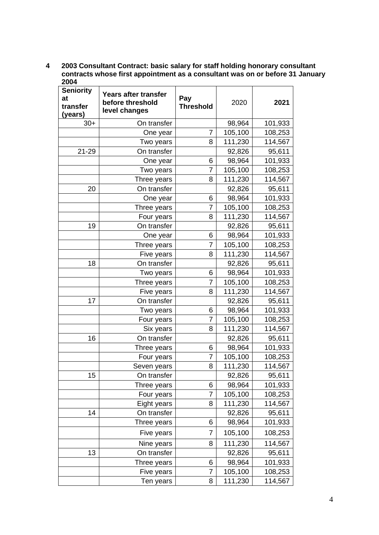#### **4 2003 Consultant Contract: basic salary for staff holding honorary consultant contracts whose first appointment as a consultant was on or before 31 January 2004**

| <b>Seniority</b><br>at<br>transfer<br>(years) | Years after transfer<br>before threshold<br>level changes | Pay<br><b>Threshold</b> | 2020    | 2021    |
|-----------------------------------------------|-----------------------------------------------------------|-------------------------|---------|---------|
| $30+$                                         | On transfer                                               |                         | 98,964  | 101,933 |
|                                               | One year                                                  | 7                       | 105,100 | 108,253 |
|                                               | Two years                                                 | 8                       | 111,230 | 114,567 |
| 21-29                                         | On transfer                                               |                         | 92,826  | 95,611  |
|                                               | One year                                                  | 6                       | 98,964  | 101,933 |
|                                               | Two years                                                 | $\overline{7}$          | 105,100 | 108,253 |
|                                               | Three years                                               | 8                       | 111,230 | 114,567 |
| 20                                            | On transfer                                               |                         | 92,826  | 95,611  |
|                                               | One year                                                  | 6                       | 98,964  | 101,933 |
|                                               | Three years                                               | 7                       | 105,100 | 108,253 |
|                                               | Four years                                                | 8                       | 111,230 | 114,567 |
| 19                                            | On transfer                                               |                         | 92,826  | 95,611  |
|                                               | One year                                                  | 6                       | 98,964  | 101,933 |
|                                               | Three years                                               | 7                       | 105,100 | 108,253 |
|                                               | Five years                                                | 8                       | 111,230 | 114,567 |
| 18                                            | On transfer                                               |                         | 92,826  | 95,611  |
|                                               | Two years                                                 | 6                       | 98,964  | 101,933 |
|                                               | Three years                                               | 7                       | 105,100 | 108,253 |
|                                               | Five years                                                | 8                       | 111,230 | 114,567 |
| 17                                            | On transfer                                               |                         | 92,826  | 95,611  |
|                                               | Two years                                                 | 6                       | 98,964  | 101,933 |
|                                               | Four years                                                | 7                       | 105,100 | 108,253 |
|                                               | Six years                                                 | 8                       | 111,230 | 114,567 |
| 16                                            | On transfer                                               |                         | 92,826  | 95,611  |
|                                               | Three years                                               | 6                       | 98,964  | 101,933 |
|                                               | Four years                                                | 7                       | 105,100 | 108,253 |
|                                               | Seven years                                               | 8                       | 111,230 | 114,567 |
| 15                                            | On transfer                                               |                         | 92,826  | 95,611  |
|                                               | Three years                                               | 6                       | 98,964  | 101,933 |
|                                               | Four years                                                | $\overline{7}$          | 105,100 | 108,253 |
|                                               | Eight years                                               | 8                       | 111,230 | 114,567 |
| 14                                            | On transfer                                               |                         | 92,826  | 95,611  |
|                                               | Three years                                               | 6                       | 98,964  | 101,933 |
|                                               | Five years                                                | 7                       | 105,100 | 108,253 |
|                                               | Nine years                                                | 8                       | 111,230 | 114,567 |
| 13                                            | On transfer                                               |                         | 92,826  | 95,611  |
|                                               | Three years                                               | 6                       | 98,964  | 101,933 |
|                                               | Five years                                                | 7                       | 105,100 | 108,253 |
|                                               | Ten years                                                 | 8                       | 111,230 | 114,567 |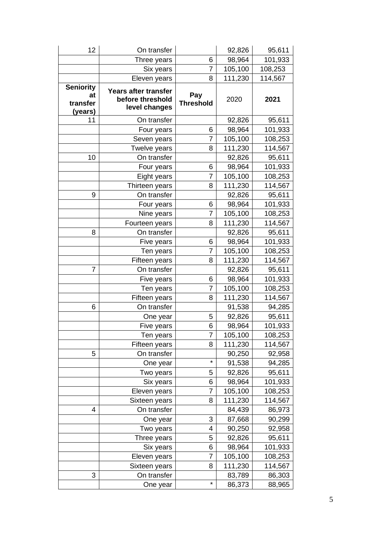| 12                                            | On transfer                                               |                         | 92,826  | 95,611  |
|-----------------------------------------------|-----------------------------------------------------------|-------------------------|---------|---------|
|                                               | Three years                                               | 6                       | 98,964  | 101,933 |
|                                               | Six years                                                 | $\overline{7}$          | 105,100 | 108,253 |
|                                               | Eleven years                                              | 8                       | 111,230 | 114,567 |
| <b>Seniority</b><br>at<br>transfer<br>(years) | Years after transfer<br>before threshold<br>level changes | Pay<br><b>Threshold</b> | 2020    | 2021    |
| 11                                            | On transfer                                               |                         | 92,826  | 95,611  |
|                                               | Four years                                                | 6                       | 98,964  | 101,933 |
|                                               | Seven years                                               | 7                       | 105,100 | 108,253 |
|                                               | Twelve years                                              | 8                       | 111,230 | 114,567 |
| 10                                            | On transfer                                               |                         | 92,826  | 95,611  |
|                                               | Four years                                                | 6                       | 98,964  | 101,933 |
|                                               | Eight years                                               | $\overline{7}$          | 105,100 | 108,253 |
|                                               | Thirteen years                                            | 8                       | 111,230 | 114,567 |
| 9                                             | On transfer                                               |                         | 92,826  | 95,611  |
|                                               | Four years                                                | 6                       | 98,964  | 101,933 |
|                                               | Nine years                                                | $\overline{7}$          | 105,100 | 108,253 |
|                                               | Fourteen years                                            | 8                       | 111,230 | 114,567 |
| 8                                             | On transfer                                               |                         | 92,826  | 95,611  |
|                                               | Five years                                                | 6                       | 98,964  | 101,933 |
|                                               | Ten years                                                 | $\overline{7}$          | 105,100 | 108,253 |
|                                               | Fifteen years                                             | 8                       | 111,230 | 114,567 |
| 7                                             | On transfer                                               |                         | 92,826  | 95,611  |
|                                               | Five years                                                | 6                       | 98,964  | 101,933 |
|                                               | Ten years                                                 | $\overline{7}$          | 105,100 | 108,253 |
|                                               | Fifteen years                                             | 8                       | 111,230 | 114,567 |
| 6                                             | On transfer                                               |                         | 91,538  | 94,285  |
|                                               | One year                                                  | 5                       | 92,826  | 95,611  |
|                                               | Five years                                                | 6                       | 98,964  | 101,933 |
|                                               | Ten years                                                 | 7                       | 105,100 | 108,253 |
|                                               | Fifteen years                                             | 8                       | 111,230 | 114,567 |
| 5                                             | On transfer                                               |                         | 90,250  | 92,958  |
|                                               | One year                                                  | $\star$                 | 91,538  | 94,285  |
|                                               | Two years                                                 | 5                       | 92,826  | 95,611  |
|                                               | Six years                                                 | 6                       | 98,964  | 101,933 |
|                                               | Eleven years                                              | $\overline{7}$          | 105,100 | 108,253 |
|                                               | Sixteen years                                             | 8                       | 111,230 | 114,567 |
| 4                                             | On transfer                                               |                         | 84,439  | 86,973  |
|                                               | One year                                                  | 3                       | 87,668  | 90,299  |
|                                               | Two years                                                 | 4                       | 90,250  | 92,958  |
|                                               | Three years                                               | 5                       | 92,826  | 95,611  |
|                                               | Six years                                                 | 6                       | 98,964  | 101,933 |
|                                               | Eleven years                                              | 7                       | 105,100 | 108,253 |
|                                               | Sixteen years                                             | 8                       | 111,230 | 114,567 |
| 3                                             | On transfer                                               |                         | 83,789  | 86,303  |
|                                               | One year                                                  | $\star$                 | 86,373  | 88,965  |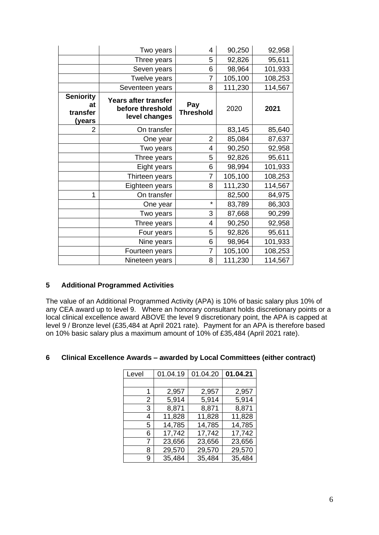|                                              | Two years                                                 | 4                       | 90,250  | 92,958  |
|----------------------------------------------|-----------------------------------------------------------|-------------------------|---------|---------|
|                                              | Three years                                               | 5                       | 92,826  | 95,611  |
|                                              | Seven years                                               | 6                       | 98,964  | 101,933 |
|                                              | Twelve years                                              | $\overline{7}$          | 105,100 | 108,253 |
|                                              | Seventeen years                                           | 8                       | 111,230 | 114,567 |
| <b>Seniority</b><br>at<br>transfer<br>(years | Years after transfer<br>before threshold<br>level changes | Pay<br><b>Threshold</b> | 2020    | 2021    |
| 2                                            | On transfer                                               |                         | 83,145  | 85,640  |
|                                              | One year                                                  | 2                       | 85,084  | 87,637  |
|                                              | Two years                                                 | 4                       | 90,250  | 92,958  |
|                                              | Three years                                               | 5                       | 92,826  | 95,611  |
|                                              | Eight years                                               | 6                       | 98,994  | 101,933 |
|                                              | Thirteen years                                            | $\overline{7}$          | 105,100 | 108,253 |
|                                              | Eighteen years                                            | 8                       | 111,230 | 114,567 |
| 1                                            | On transfer                                               |                         | 82,500  | 84,975  |
|                                              | One year                                                  | $\star$                 | 83,789  | 86,303  |
|                                              | Two years                                                 | 3                       | 87,668  | 90,299  |
|                                              | Three years                                               | 4                       | 90,250  | 92,958  |
|                                              | Four years                                                | 5                       | 92,826  | 95,611  |
|                                              | Nine years                                                | 6                       | 98,964  | 101,933 |
|                                              | Fourteen years                                            | $\overline{7}$          | 105,100 | 108,253 |
|                                              | Nineteen years                                            | 8                       | 111,230 | 114,567 |

#### **5 Additional Programmed Activities**

The value of an Additional Programmed Activity (APA) is 10% of basic salary plus 10% of any CEA award up to level 9. Where an honorary consultant holds discretionary points or a local clinical excellence award ABOVE the level 9 discretionary point, the APA is capped at level 9 / Bronze level (£35,484 at April 2021 rate). Payment for an APA is therefore based on 10% basic salary plus a maximum amount of 10% of £35,484 (April 2021 rate).

#### **6 Clinical Excellence Awards – awarded by Local Committees (either contract)**

| Level | 01.04.19 | 01.04.20 | 01.04.21 |
|-------|----------|----------|----------|
|       |          |          |          |
| 1     | 2,957    | 2,957    | 2,957    |
| 2     | 5,914    | 5,914    | 5,914    |
| 3     | 8,871    | 8,871    | 8,871    |
| 4     | 11,828   | 11,828   | 11,828   |
| 5.    | 14,785   | 14,785   | 14,785   |
| 6     | 17,742   | 17,742   | 17,742   |
| 7     | 23,656   | 23,656   | 23,656   |
| 8     | 29,570   | 29,570   | 29,570   |
| 9     | 35,484   | 35,484   | 35,484   |